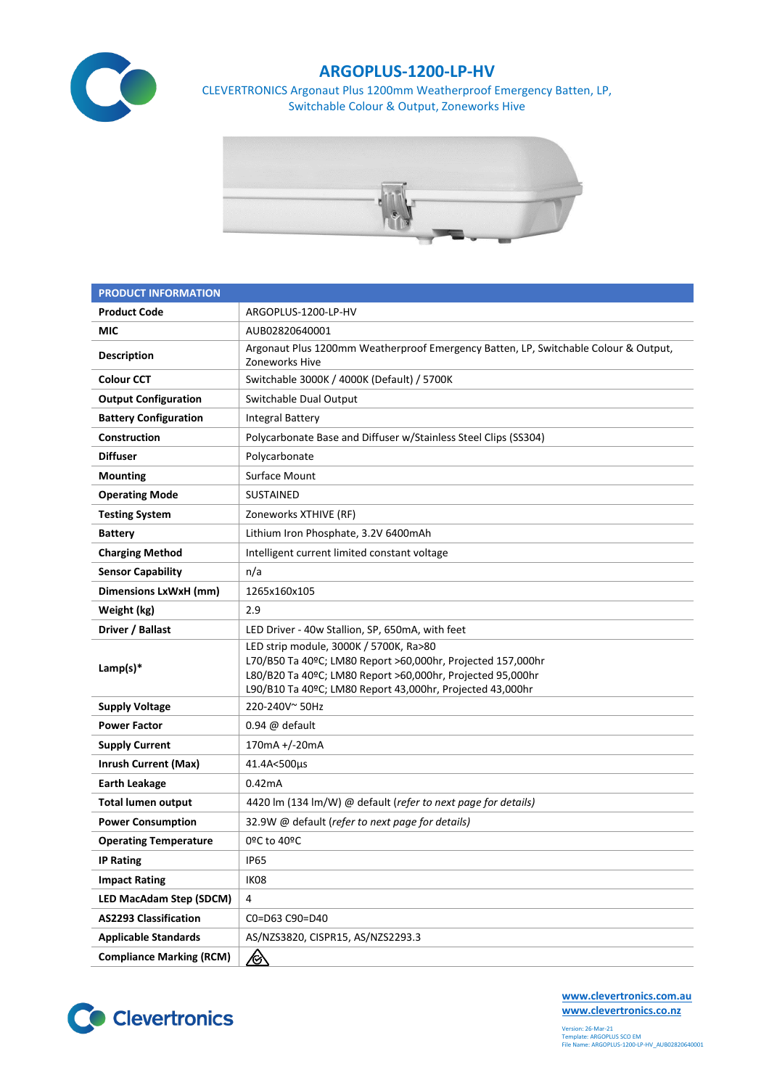

## **ARGOPLUS-1200-LP-HV**

CLEVERTRONICS Argonaut Plus 1200mm Weatherproof Emergency Batten, LP, Switchable Colour & Output, Zoneworks Hive



| <b>PRODUCT INFORMATION</b>      |                                                                                                                                                                                                                                  |  |  |  |  |
|---------------------------------|----------------------------------------------------------------------------------------------------------------------------------------------------------------------------------------------------------------------------------|--|--|--|--|
| <b>Product Code</b>             | ARGOPLUS-1200-LP-HV                                                                                                                                                                                                              |  |  |  |  |
| MIC                             | AUB02820640001                                                                                                                                                                                                                   |  |  |  |  |
| <b>Description</b>              | Argonaut Plus 1200mm Weatherproof Emergency Batten, LP, Switchable Colour & Output,<br>Zoneworks Hive                                                                                                                            |  |  |  |  |
| <b>Colour CCT</b>               | Switchable 3000K / 4000K (Default) / 5700K                                                                                                                                                                                       |  |  |  |  |
| <b>Output Configuration</b>     | Switchable Dual Output                                                                                                                                                                                                           |  |  |  |  |
| <b>Battery Configuration</b>    | <b>Integral Battery</b>                                                                                                                                                                                                          |  |  |  |  |
| Construction                    | Polycarbonate Base and Diffuser w/Stainless Steel Clips (SS304)                                                                                                                                                                  |  |  |  |  |
| <b>Diffuser</b>                 | Polycarbonate                                                                                                                                                                                                                    |  |  |  |  |
| <b>Mounting</b>                 | Surface Mount                                                                                                                                                                                                                    |  |  |  |  |
| <b>Operating Mode</b>           | <b>SUSTAINED</b>                                                                                                                                                                                                                 |  |  |  |  |
| <b>Testing System</b>           | Zoneworks XTHIVE (RF)                                                                                                                                                                                                            |  |  |  |  |
| <b>Battery</b>                  | Lithium Iron Phosphate, 3.2V 6400mAh                                                                                                                                                                                             |  |  |  |  |
| <b>Charging Method</b>          | Intelligent current limited constant voltage                                                                                                                                                                                     |  |  |  |  |
| <b>Sensor Capability</b>        | n/a                                                                                                                                                                                                                              |  |  |  |  |
| Dimensions LxWxH (mm)           | 1265x160x105                                                                                                                                                                                                                     |  |  |  |  |
| Weight (kg)                     | 2.9                                                                                                                                                                                                                              |  |  |  |  |
| Driver / Ballast                | LED Driver - 40w Stallion, SP, 650mA, with feet                                                                                                                                                                                  |  |  |  |  |
| Lamp(s) $*$                     | LED strip module, 3000K / 5700K, Ra>80<br>L70/B50 Ta 40ºC; LM80 Report >60,000hr, Projected 157,000hr<br>L80/B20 Ta 40ºC; LM80 Report >60,000hr, Projected 95,000hr<br>L90/B10 Ta 40ºC; LM80 Report 43,000hr, Projected 43,000hr |  |  |  |  |
| <b>Supply Voltage</b>           | 220-240V~50Hz                                                                                                                                                                                                                    |  |  |  |  |
| <b>Power Factor</b>             | $0.94 \ @$ default                                                                                                                                                                                                               |  |  |  |  |
| <b>Supply Current</b>           | 170mA +/-20mA                                                                                                                                                                                                                    |  |  |  |  |
| <b>Inrush Current (Max)</b>     | 41.4A<500µs                                                                                                                                                                                                                      |  |  |  |  |
| <b>Earth Leakage</b>            | 0.42mA                                                                                                                                                                                                                           |  |  |  |  |
| <b>Total lumen output</b>       | 4420 lm (134 lm/W) @ default (refer to next page for details)                                                                                                                                                                    |  |  |  |  |
| <b>Power Consumption</b>        | 32.9W @ default (refer to next page for details)                                                                                                                                                                                 |  |  |  |  |
| <b>Operating Temperature</b>    | 0ºC to 40ºC                                                                                                                                                                                                                      |  |  |  |  |
| <b>IP Rating</b>                | <b>IP65</b>                                                                                                                                                                                                                      |  |  |  |  |
| <b>Impact Rating</b>            | IK08                                                                                                                                                                                                                             |  |  |  |  |
| LED MacAdam Step (SDCM)         | 4                                                                                                                                                                                                                                |  |  |  |  |
| <b>AS2293 Classification</b>    | C0=D63 C90=D40                                                                                                                                                                                                                   |  |  |  |  |
| <b>Applicable Standards</b>     | AS/NZS3820, CISPR15, AS/NZS2293.3                                                                                                                                                                                                |  |  |  |  |
| <b>Compliance Marking (RCM)</b> | <u>/&amp;</u>                                                                                                                                                                                                                    |  |  |  |  |



**[www.clevertronics.com.au](http://www.clevertronics.com.au/) www.clevertronics.co.nz**

Version: 26-Mar-21 Template: ARGOPLUS SCO EM File Name: ARGOPLUS-1200-LP-HV\_AUB02820640001